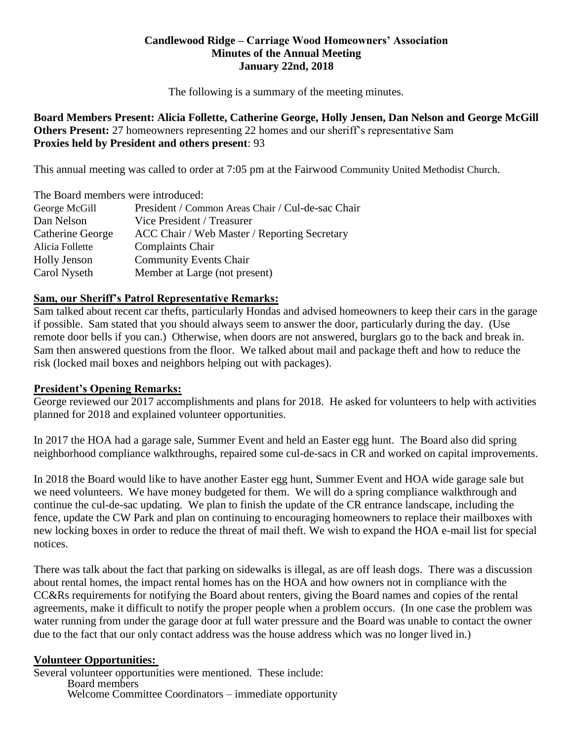## **Candlewood Ridge – Carriage Wood Homeowners' Association Minutes of the Annual Meeting January 22nd, 2018**

The following is a summary of the meeting minutes.

**Board Members Present: Alicia Follette, Catherine George, Holly Jensen, Dan Nelson and George McGill Others Present:** 27 homeowners representing 22 homes and our sheriff's representative Sam **Proxies held by President and others present**: 93

This annual meeting was called to order at 7:05 pm at the Fairwood Community United Methodist Church.

| The Board members were introduced: |                                                   |
|------------------------------------|---------------------------------------------------|
| George McGill                      | President / Common Areas Chair / Cul-de-sac Chair |
| Dan Nelson                         | Vice President / Treasurer                        |
| Catherine George                   | ACC Chair / Web Master / Reporting Secretary      |
| Alicia Follette                    | <b>Complaints Chair</b>                           |
| <b>Holly Jenson</b>                | <b>Community Events Chair</b>                     |
| Carol Nyseth                       | Member at Large (not present)                     |

## **Sam, our Sheriff's Patrol Representative Remarks:**

Sam talked about recent car thefts, particularly Hondas and advised homeowners to keep their cars in the garage if possible. Sam stated that you should always seem to answer the door, particularly during the day. (Use remote door bells if you can.) Otherwise, when doors are not answered, burglars go to the back and break in. Sam then answered questions from the floor. We talked about mail and package theft and how to reduce the risk (locked mail boxes and neighbors helping out with packages).

# **President's Opening Remarks:**

George reviewed our 2017 accomplishments and plans for 2018. He asked for volunteers to help with activities planned for 2018 and explained volunteer opportunities.

In 2017 the HOA had a garage sale, Summer Event and held an Easter egg hunt. The Board also did spring neighborhood compliance walkthroughs, repaired some cul-de-sacs in CR and worked on capital improvements.

In 2018 the Board would like to have another Easter egg hunt, Summer Event and HOA wide garage sale but we need volunteers. We have money budgeted for them. We will do a spring compliance walkthrough and continue the cul-de-sac updating. We plan to finish the update of the CR entrance landscape, including the fence, update the CW Park and plan on continuing to encouraging homeowners to replace their mailboxes with new locking boxes in order to reduce the threat of mail theft. We wish to expand the HOA e-mail list for special notices.

There was talk about the fact that parking on sidewalks is illegal, as are off leash dogs. There was a discussion about rental homes, the impact rental homes has on the HOA and how owners not in compliance with the CC&Rs requirements for notifying the Board about renters, giving the Board names and copies of the rental agreements, make it difficult to notify the proper people when a problem occurs. (In one case the problem was water running from under the garage door at full water pressure and the Board was unable to contact the owner due to the fact that our only contact address was the house address which was no longer lived in.)

#### **Volunteer Opportunities:**

Several volunteer opportunities were mentioned. These include:

- Board members
- Welcome Committee Coordinators immediate opportunity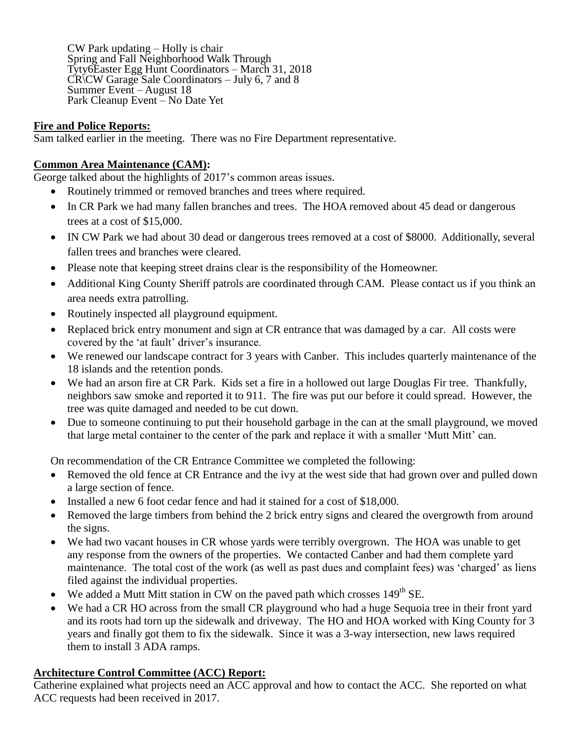• CW Park updating – Holly is chair • Spring and Fall Neighborhood Walk Through • Tyty6Easter Egg Hunt Coordinators – March 31, 2018 • CR\CW Garage Sale Coordinators – July 6, 7 and 8 • Summer Event – August 18 Park Cleanup Event – No Date Yet

# **Fire and Police Reports:**

Sam talked earlier in the meeting. There was no Fire Department representative.

# **Common Area Maintenance (CAM):**

George talked about the highlights of 2017's common areas issues.

- Routinely trimmed or removed branches and trees where required.
- In CR Park we had many fallen branches and trees. The HOA removed about 45 dead or dangerous trees at a cost of \$15,000.
- IN CW Park we had about 30 dead or dangerous trees removed at a cost of \$8000. Additionally, several fallen trees and branches were cleared.
- Please note that keeping street drains clear is the responsibility of the Homeowner.
- Additional King County Sheriff patrols are coordinated through CAM. Please contact us if you think an area needs extra patrolling.
- Routinely inspected all playground equipment.
- Replaced brick entry monument and sign at CR entrance that was damaged by a car. All costs were covered by the 'at fault' driver's insurance.
- We renewed our landscape contract for 3 years with Canber. This includes quarterly maintenance of the 18 islands and the retention ponds.
- We had an arson fire at CR Park. Kids set a fire in a hollowed out large Douglas Fir tree. Thankfully, neighbors saw smoke and reported it to 911. The fire was put our before it could spread. However, the tree was quite damaged and needed to be cut down.
- Due to someone continuing to put their household garbage in the can at the small playground, we moved that large metal container to the center of the park and replace it with a smaller 'Mutt Mitt' can.

On recommendation of the CR Entrance Committee we completed the following:

- Removed the old fence at CR Entrance and the ivy at the west side that had grown over and pulled down a large section of fence.
- Installed a new 6 foot cedar fence and had it stained for a cost of \$18,000.
- Removed the large timbers from behind the 2 brick entry signs and cleared the overgrowth from around the signs.
- We had two vacant houses in CR whose yards were terribly overgrown. The HOA was unable to get any response from the owners of the properties. We contacted Canber and had them complete yard maintenance. The total cost of the work (as well as past dues and complaint fees) was 'charged' as liens filed against the individual properties.
- We added a Mutt Mitt station in CW on the paved path which crosses  $149<sup>th</sup>$  SE.
- We had a CR HO across from the small CR playground who had a huge Sequoia tree in their front yard and its roots had torn up the sidewalk and driveway. The HO and HOA worked with King County for 3 years and finally got them to fix the sidewalk. Since it was a 3-way intersection, new laws required them to install 3 ADA ramps.

# **Architecture Control Committee (ACC) Report:**

Catherine explained what projects need an ACC approval and how to contact the ACC. She reported on what ACC requests had been received in 2017.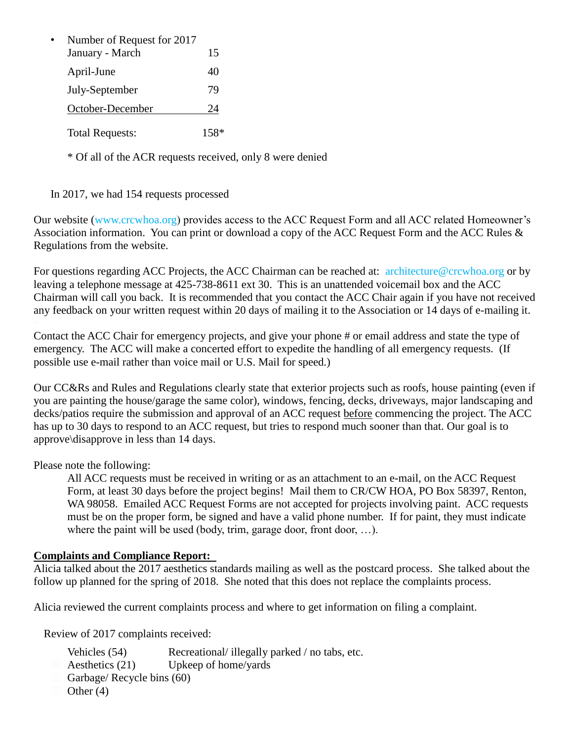| Number of Request for 2017 |    |
|----------------------------|----|
| January - March            | 15 |
| April-June                 | 40 |
| July-September             | 79 |
| October-December           | 24 |
| <b>Total Requests:</b>     |    |

\* Of all of the ACR requests received, only 8 were denied

# In 2017, we had 154 requests processed

Our website (www.crcwhoa.org) provides access to the ACC Request Form and all ACC related Homeowner's Association information. You can print or download a copy of the ACC Request Form and the ACC Rules & Regulations from the website.

For questions regarding ACC Projects, the ACC Chairman can be reached at: architecture@crcwhoa.org or by leaving a telephone message at 425-738-8611 ext 30. This is an unattended voicemail box and the ACC Chairman will call you back. It is recommended that you contact the ACC Chair again if you have not received any feedback on your written request within 20 days of mailing it to the Association or 14 days of e-mailing it.

Contact the ACC Chair for emergency projects, and give your phone # or email address and state the type of emergency. The ACC will make a concerted effort to expedite the handling of all emergency requests. (If possible use e-mail rather than voice mail or U.S. Mail for speed.)

Our CC&Rs and Rules and Regulations clearly state that exterior projects such as roofs, house painting (even if you are painting the house/garage the same color), windows, fencing, decks, driveways, major landscaping and decks/patios require the submission and approval of an ACC request before commencing the project. The ACC has up to 30 days to respond to an ACC request, but tries to respond much sooner than that. Our goal is to approve\disapprove in less than 14 days.

Please note the following:

All ACC requests must be received in writing or as an attachment to an e-mail, on the ACC Request Form, at least 30 days before the project begins! Mail them to CR/CW HOA, PO Box 58397, Renton, WA 98058. Emailed ACC Request Forms are not accepted for projects involving paint. ACC requests must be on the proper form, be signed and have a valid phone number. If for paint, they must indicate where the paint will be used (body, trim, garage door, front door, ...).

# **Complaints and Compliance Report:**

Alicia talked about the 2017 aesthetics standards mailing as well as the postcard process. She talked about the follow up planned for the spring of 2018. She noted that this does not replace the complaints process.

Alicia reviewed the current complaints process and where to get information on filing a complaint.

Review of 2017 complaints received:

- Vehicles (54) Recreational/ illegally parked / no tabs, etc.
- Aesthetics (21) Upkeep of home/yards
- Garbage/ Recycle bins (60)
- Other (4)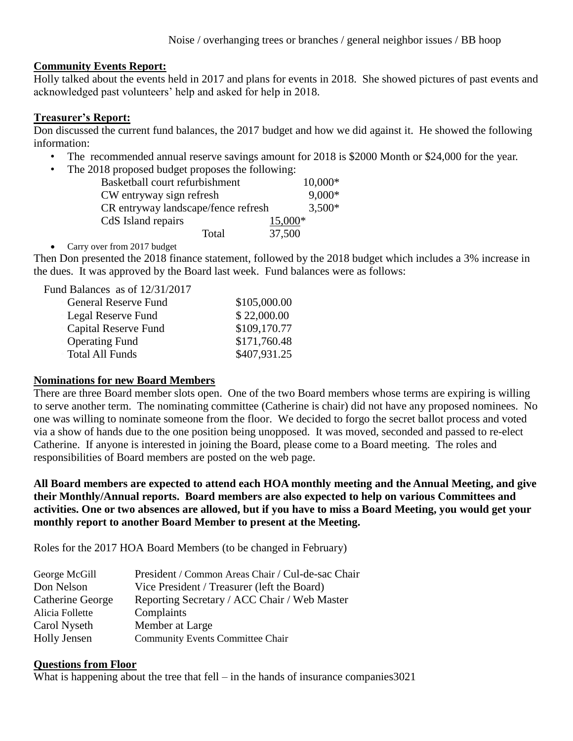### **Community Events Report:**

Holly talked about the events held in 2017 and plans for events in 2018. She showed pictures of past events and acknowledged past volunteers' help and asked for help in 2018.

#### **Treasurer's Report:**

Don discussed the current fund balances, the 2017 budget and how we did against it. He showed the following information:

- The recommended annual reserve savings amount for 2018 is \$2000 Month or \$24,000 for the year.
- The 2018 proposed budget proposes the following:

| Basketball court refurbishment      |         | $10,000*$ |
|-------------------------------------|---------|-----------|
| CW entryway sign refresh            |         | $9,000*$  |
| CR entryway landscape/fence refresh |         | $3,500*$  |
| CdS Island repairs                  | 15,000* |           |
| Total                               | 37,500  |           |

• Carry over from 2017 budget

Then Don presented the 2018 finance statement, followed by the 2018 budget which includes a 3% increase in the dues. It was approved by the Board last week. Fund balances were as follows:

Fund Balances as of 12/31/2017

| General Reserve Fund   | \$105,000.00 |
|------------------------|--------------|
| Legal Reserve Fund     | \$22,000.00  |
| Capital Reserve Fund   | \$109,170.77 |
| <b>Operating Fund</b>  | \$171,760.48 |
| <b>Total All Funds</b> | \$407,931.25 |
|                        |              |

#### **Nominations for new Board Members**

There are three Board member slots open. One of the two Board members whose terms are expiring is willing to serve another term. The nominating committee (Catherine is chair) did not have any proposed nominees. No one was willing to nominate someone from the floor. We decided to forgo the secret ballot process and voted via a show of hands due to the one position being unopposed. It was moved, seconded and passed to re-elect Catherine. If anyone is interested in joining the Board, please come to a Board meeting. The roles and responsibilities of Board members are posted on the web page.

**All Board members are expected to attend each HOA monthly meeting and the Annual Meeting, and give their Monthly/Annual reports. Board members are also expected to help on various Committees and activities. One or two absences are allowed, but if you have to miss a Board Meeting, you would get your monthly report to another Board Member to present at the Meeting.**

Roles for the 2017 HOA Board Members (to be changed in February)

| George McGill       | President / Common Areas Chair / Cul-de-sac Chair |
|---------------------|---------------------------------------------------|
| Don Nelson          | Vice President / Treasurer (left the Board)       |
| Catherine George    | Reporting Secretary / ACC Chair / Web Master      |
| Alicia Follette     | Complaints                                        |
| Carol Nyseth        | Member at Large                                   |
| <b>Holly Jensen</b> | <b>Community Events Committee Chair</b>           |

#### **Questions from Floor**

What is happening about the tree that fell – in the hands of insurance companies 3021